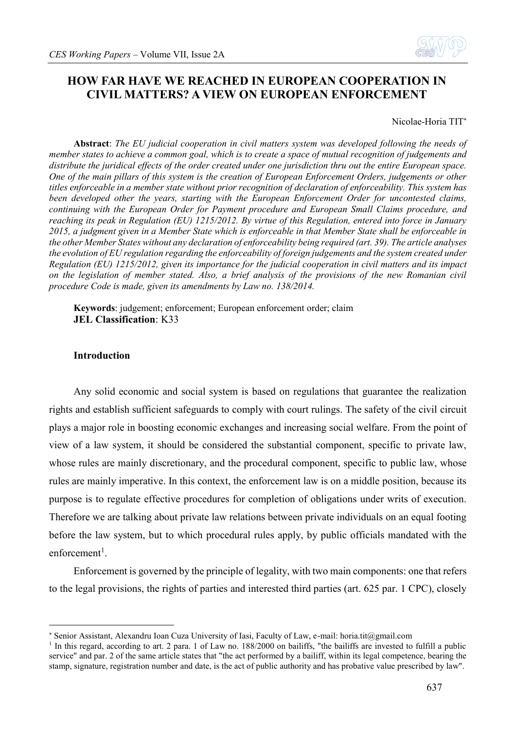

# **HOW FAR HAVE WE REACHED IN EUROPEAN COOPERATION IN CIVIL MATTERS? A VIEW ON EUROPEAN ENFORCEMENT**

Nicolae-Horia TIT

**Abstract**: *The EU judicial cooperation in civil matters system was developed following the needs of member states to achieve a common goal, which is to create a space of mutual recognition of judgements and distribute the juridical effects of the order created under one jurisdiction thru out the entire European space. One of the main pillars of this system is the creation of European Enforcement Orders, judgements or other titles enforceable in a member state without prior recognition of declaration of enforceability. This system has been developed other the years, starting with the European Enforcement Order for uncontested claims, continuing with the European Order for Payment procedure and European Small Claims procedure, and reaching its peak in Regulation (EU) 1215/2012. By virtue of this Regulation, entered into force in January 2015, a judgment given in a Member State which is enforceable in that Member State shall be enforceable in the other Member States without any declaration of enforceability being required (art. 39). The article analyses the evolution of EU regulation regarding the enforceability of foreign judgements and the system created under Regulation (EU) 1215/2012, given its importance for the judicial cooperation in civil matters and its impact on the legislation of member stated. Also, a brief analysis of the provisions of the new Romanian civil procedure Code is made, given its amendments by Law no. 138/2014.*

**Keywords**: judgement; enforcement; European enforcement order; claim **JEL Classification**: K33

# **Introduction**

1

Any solid economic and social system is based on regulations that guarantee the realization rights and establish sufficient safeguards to comply with court rulings. The safety of the civil circuit plays a major role in boosting economic exchanges and increasing social welfare. From the point of view of a law system, it should be considered the substantial component, specific to private law, whose rules are mainly discretionary, and the procedural component, specific to public law, whose rules are mainly imperative. In this context, the enforcement law is on a middle position, because its purpose is to regulate effective procedures for completion of obligations under writs of execution. Therefore we are talking about private law relations between private individuals on an equal footing before the law system, but to which procedural rules apply, by public officials mandated with the enforcement<sup>1</sup>.

Enforcement is governed by the principle of legality, with two main components: one that refers to the legal provisions, the rights of parties and interested third parties (art. 625 par. 1 CPC), closely

Senior Assistant, Alexandru Ioan Cuza University of Iasi, Faculty of Law, e-mail: horia.tit@gmail.com

<sup>&</sup>lt;sup>1</sup> In this regard, according to art. 2 para. 1 of Law no. 188/2000 on bailiffs, "the bailiffs are invested to fulfill a public service" and par. 2 of the same article states that "the act performed by a bailiff, within its legal competence, bearing the stamp, signature, registration number and date, is the act of public authority and has probative value prescribed by law".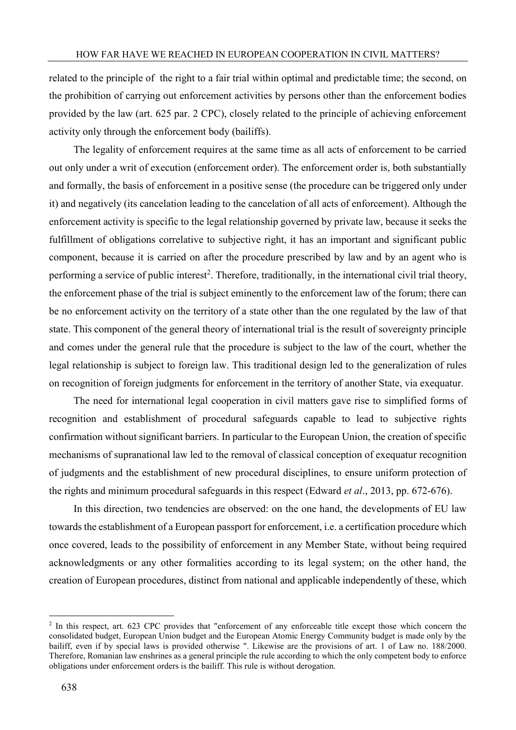related to the principle of the right to a fair trial within optimal and predictable time; the second, on the prohibition of carrying out enforcement activities by persons other than the enforcement bodies provided by the law (art. 625 par. 2 CPC), closely related to the principle of achieving enforcement activity only through the enforcement body (bailiffs).

The legality of enforcement requires at the same time as all acts of enforcement to be carried out only under a writ of execution (enforcement order). The enforcement order is, both substantially and formally, the basis of enforcement in a positive sense (the procedure can be triggered only under it) and negatively (its cancelation leading to the cancelation of all acts of enforcement). Although the enforcement activity is specific to the legal relationship governed by private law, because it seeks the fulfillment of obligations correlative to subjective right, it has an important and significant public component, because it is carried on after the procedure prescribed by law and by an agent who is performing a service of public interest<sup>2</sup>. Therefore, traditionally, in the international civil trial theory, the enforcement phase of the trial is subject eminently to the enforcement law of the forum; there can be no enforcement activity on the territory of a state other than the one regulated by the law of that state. This component of the general theory of international trial is the result of sovereignty principle and comes under the general rule that the procedure is subject to the law of the court, whether the legal relationship is subject to foreign law. This traditional design led to the generalization of rules on recognition of foreign judgments for enforcement in the territory of another State, via exequatur.

The need for international legal cooperation in civil matters gave rise to simplified forms of recognition and establishment of procedural safeguards capable to lead to subjective rights confirmation without significant barriers. In particular to the European Union, the creation of specific mechanisms of supranational law led to the removal of classical conception of exequatur recognition of judgments and the establishment of new procedural disciplines, to ensure uniform protection of the rights and minimum procedural safeguards in this respect (Edward *et al*., 2013, pp. 672-676).

In this direction, two tendencies are observed: on the one hand, the developments of EU law towards the establishment of a European passport for enforcement, i.e. a certification procedure which once covered, leads to the possibility of enforcement in any Member State, without being required acknowledgments or any other formalities according to its legal system; on the other hand, the creation of European procedures, distinct from national and applicable independently of these, which

<u>.</u>

<sup>&</sup>lt;sup>2</sup> In this respect, art. 623 CPC provides that "enforcement of any enforceable title except those which concern the consolidated budget, European Union budget and the European Atomic Energy Community budget is made only by the bailiff, even if by special laws is provided otherwise ". Likewise are the provisions of art. 1 of Law no. 188/2000. Therefore, Romanian law enshrines as a general principle the rule according to which the only competent body to enforce obligations under enforcement orders is the bailiff. This rule is without derogation.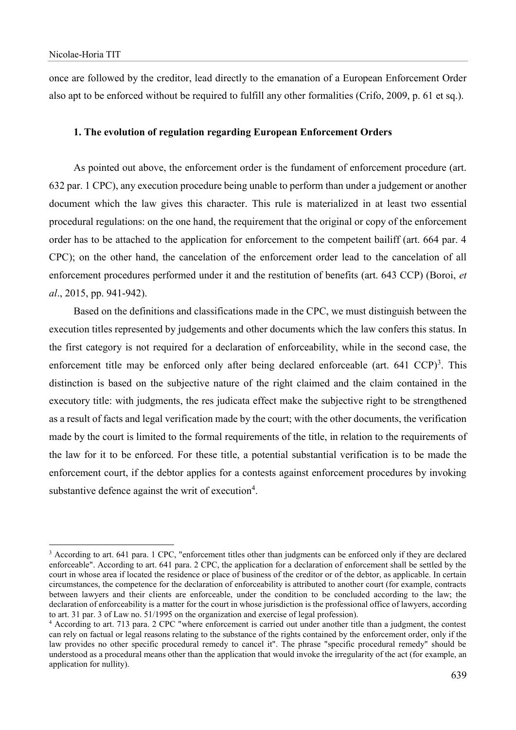1

once are followed by the creditor, lead directly to the emanation of a European Enforcement Order also apt to be enforced without be required to fulfill any other formalities (Crifo, 2009, p. 61 et sq.).

### **1. The evolution of regulation regarding European Enforcement Orders**

As pointed out above, the enforcement order is the fundament of enforcement procedure (art. 632 par. 1 CPC), any execution procedure being unable to perform than under a judgement or another document which the law gives this character. This rule is materialized in at least two essential procedural regulations: on the one hand, the requirement that the original or copy of the enforcement order has to be attached to the application for enforcement to the competent bailiff (art. 664 par. 4 CPC); on the other hand, the cancelation of the enforcement order lead to the cancelation of all enforcement procedures performed under it and the restitution of benefits (art. 643 CCP) (Boroi, *et al*., 2015, pp. 941-942).

Based on the definitions and classifications made in the CPC, we must distinguish between the execution titles represented by judgements and other documents which the law confers this status. In the first category is not required for a declaration of enforceability, while in the second case, the enforcement title may be enforced only after being declared enforceable (art.  $641 \text{ CCP]}$ <sup>3</sup>. This distinction is based on the subjective nature of the right claimed and the claim contained in the executory title: with judgments, the res judicata effect make the subjective right to be strengthened as a result of facts and legal verification made by the court; with the other documents, the verification made by the court is limited to the formal requirements of the title, in relation to the requirements of the law for it to be enforced. For these title, a potential substantial verification is to be made the enforcement court, if the debtor applies for a contests against enforcement procedures by invoking substantive defence against the writ of execution<sup>4</sup>.

<sup>&</sup>lt;sup>3</sup> According to art. 641 para. 1 CPC, "enforcement titles other than judgments can be enforced only if they are declared enforceable". According to art. 641 para. 2 CPC, the application for a declaration of enforcement shall be settled by the court in whose area if located the residence or place of business of the creditor or of the debtor, as applicable. In certain circumstances, the competence for the declaration of enforceability is attributed to another court (for example, contracts between lawyers and their clients are enforceable, under the condition to be concluded according to the law; the declaration of enforceability is a matter for the court in whose jurisdiction is the professional office of lawyers, according to art. 31 par. 3 of Law no. 51/1995 on the organization and exercise of legal profession).

<sup>4</sup> According to art. 713 para. 2 CPC "where enforcement is carried out under another title than a judgment, the contest can rely on factual or legal reasons relating to the substance of the rights contained by the enforcement order, only if the law provides no other specific procedural remedy to cancel it". The phrase "specific procedural remedy" should be understood as a procedural means other than the application that would invoke the irregularity of the act (for example, an application for nullity).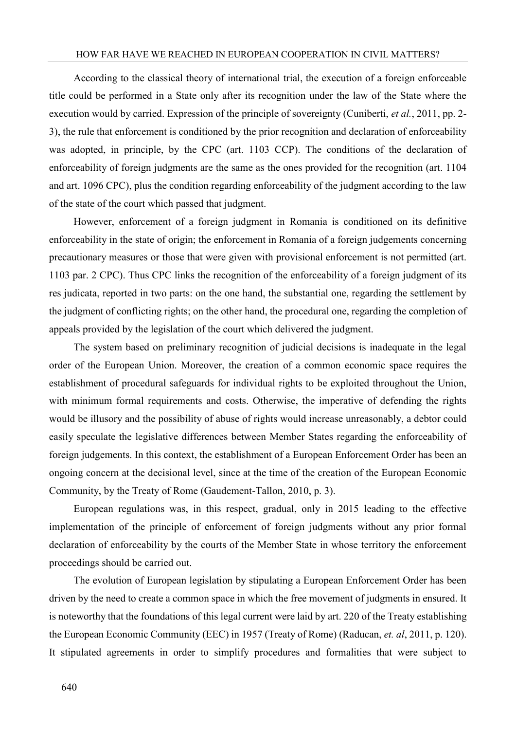# HOW FAR HAVE WE REACHED IN EUROPEAN COOPERATION IN CIVIL MATTERS?

According to the classical theory of international trial, the execution of a foreign enforceable title could be performed in a State only after its recognition under the law of the State where the execution would by carried. Expression of the principle of sovereignty (Cuniberti, *et al.*, 2011, pp. 2- 3), the rule that enforcement is conditioned by the prior recognition and declaration of enforceability was adopted, in principle, by the CPC (art. 1103 CCP). The conditions of the declaration of enforceability of foreign judgments are the same as the ones provided for the recognition (art. 1104 and art. 1096 CPC), plus the condition regarding enforceability of the judgment according to the law of the state of the court which passed that judgment.

However, enforcement of a foreign judgment in Romania is conditioned on its definitive enforceability in the state of origin; the enforcement in Romania of a foreign judgements concerning precautionary measures or those that were given with provisional enforcement is not permitted (art. 1103 par. 2 CPC). Thus CPC links the recognition of the enforceability of a foreign judgment of its res judicata, reported in two parts: on the one hand, the substantial one, regarding the settlement by the judgment of conflicting rights; on the other hand, the procedural one, regarding the completion of appeals provided by the legislation of the court which delivered the judgment.

The system based on preliminary recognition of judicial decisions is inadequate in the legal order of the European Union. Moreover, the creation of a common economic space requires the establishment of procedural safeguards for individual rights to be exploited throughout the Union, with minimum formal requirements and costs. Otherwise, the imperative of defending the rights would be illusory and the possibility of abuse of rights would increase unreasonably, a debtor could easily speculate the legislative differences between Member States regarding the enforceability of foreign judgements. In this context, the establishment of a European Enforcement Order has been an ongoing concern at the decisional level, since at the time of the creation of the European Economic Community, by the Treaty of Rome (Gaudement-Tallon, 2010, p. 3).

European regulations was, in this respect, gradual, only in 2015 leading to the effective implementation of the principle of enforcement of foreign judgments without any prior formal declaration of enforceability by the courts of the Member State in whose territory the enforcement proceedings should be carried out.

The evolution of European legislation by stipulating a European Enforcement Order has been driven by the need to create a common space in which the free movement of judgments in ensured. It is noteworthy that the foundations of this legal current were laid by art. 220 of the Treaty establishing the European Economic Community (EEC) in 1957 (Treaty of Rome) (Raducan, *et. al*, 2011, p. 120). It stipulated agreements in order to simplify procedures and formalities that were subject to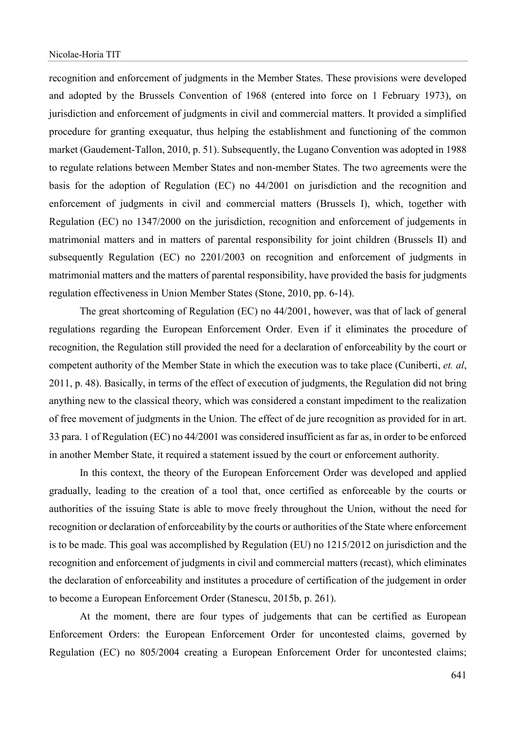recognition and enforcement of judgments in the Member States. These provisions were developed and adopted by the Brussels Convention of 1968 (entered into force on 1 February 1973), on jurisdiction and enforcement of judgments in civil and commercial matters. It provided a simplified procedure for granting exequatur, thus helping the establishment and functioning of the common market (Gaudement-Tallon, 2010, p. 51). Subsequently, the Lugano Convention was adopted in 1988 to regulate relations between Member States and non-member States. The two agreements were the basis for the adoption of Regulation (EC) no 44/2001 on jurisdiction and the recognition and enforcement of judgments in civil and commercial matters (Brussels I), which, together with Regulation (EC) no 1347/2000 on the jurisdiction, recognition and enforcement of judgements in matrimonial matters and in matters of parental responsibility for joint children (Brussels II) and subsequently Regulation (EC) no 2201/2003 on recognition and enforcement of judgments in matrimonial matters and the matters of parental responsibility, have provided the basis for judgments regulation effectiveness in Union Member States (Stone, 2010, pp. 6-14).

The great shortcoming of Regulation (EC) no 44/2001, however, was that of lack of general regulations regarding the European Enforcement Order. Even if it eliminates the procedure of recognition, the Regulation still provided the need for a declaration of enforceability by the court or competent authority of the Member State in which the execution was to take place (Cuniberti, *et. al*, 2011, p. 48). Basically, in terms of the effect of execution of judgments, the Regulation did not bring anything new to the classical theory, which was considered a constant impediment to the realization of free movement of judgments in the Union. The effect of de jure recognition as provided for in art. 33 para. 1 of Regulation (EC) no 44/2001 was considered insufficient as far as, in order to be enforced in another Member State, it required a statement issued by the court or enforcement authority.

In this context, the theory of the European Enforcement Order was developed and applied gradually, leading to the creation of a tool that, once certified as enforceable by the courts or authorities of the issuing State is able to move freely throughout the Union, without the need for recognition or declaration of enforceability by the courts or authorities of the State where enforcement is to be made. This goal was accomplished by Regulation (EU) no 1215/2012 on jurisdiction and the recognition and enforcement of judgments in civil and commercial matters (recast), which eliminates the declaration of enforceability and institutes a procedure of certification of the judgement in order to become a European Enforcement Order (Stanescu, 2015b, p. 261).

At the moment, there are four types of judgements that can be certified as European Enforcement Orders: the European Enforcement Order for uncontested claims, governed by Regulation (EC) no 805/2004 creating a European Enforcement Order for uncontested claims;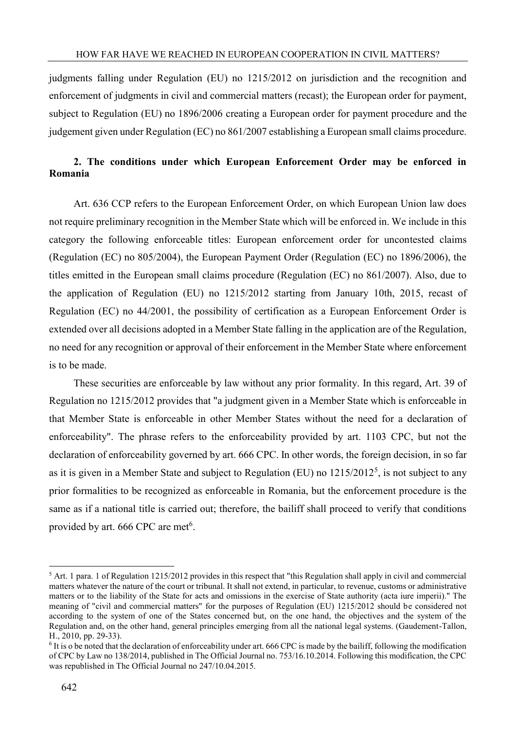judgments falling under Regulation (EU) no 1215/2012 on jurisdiction and the recognition and enforcement of judgments in civil and commercial matters (recast); the European order for payment, subject to Regulation (EU) no 1896/2006 creating a European order for payment procedure and the judgement given under Regulation (EC) no 861/2007 establishing a European small claims procedure.

# **2. The conditions under which European Enforcement Order may be enforced in Romania**

Art. 636 CCP refers to the European Enforcement Order, on which European Union law does not require preliminary recognition in the Member State which will be enforced in. We include in this category the following enforceable titles: European enforcement order for uncontested claims (Regulation (EC) no 805/2004), the European Payment Order (Regulation (EC) no 1896/2006), the titles emitted in the European small claims procedure (Regulation (EC) no 861/2007). Also, due to the application of Regulation (EU) no 1215/2012 starting from January 10th, 2015, recast of Regulation (EC) no 44/2001, the possibility of certification as a European Enforcement Order is extended over all decisions adopted in a Member State falling in the application are of the Regulation, no need for any recognition or approval of their enforcement in the Member State where enforcement is to be made.

These securities are enforceable by law without any prior formality. In this regard, Art. 39 of Regulation no 1215/2012 provides that "a judgment given in a Member State which is enforceable in that Member State is enforceable in other Member States without the need for a declaration of enforceability". The phrase refers to the enforceability provided by art. 1103 CPC, but not the declaration of enforceability governed by art. 666 CPC. In other words, the foreign decision, in so far as it is given in a Member State and subject to Regulation (EU) no  $1215/2012^5$ , is not subject to any prior formalities to be recognized as enforceable in Romania, but the enforcement procedure is the same as if a national title is carried out; therefore, the bailiff shall proceed to verify that conditions provided by art. 666 CPC are met<sup>6</sup>.

1

 $<sup>5</sup>$  Art. 1 para. 1 of Regulation 1215/2012 provides in this respect that "this Regulation shall apply in civil and commercial</sup> matters whatever the nature of the court or tribunal. It shall not extend, in particular, to revenue, customs or administrative matters or to the liability of the State for acts and omissions in the exercise of State authority (acta iure imperii)." The meaning of "civil and commercial matters" for the purposes of Regulation (EU) 1215/2012 should be considered not according to the system of one of the States concerned but, on the one hand, the objectives and the system of the Regulation and, on the other hand, general principles emerging from all the national legal systems. (Gaudement-Tallon, H., 2010, pp. 29-33).

<sup>&</sup>lt;sup>6</sup> It is o be noted that the declaration of enforceability under art. 666 CPC is made by the bailiff, following the modification of CPC by Law no 138/2014, published in The Official Journal no. 753/16.10.2014. Following this modification, the CPC was republished in The Official Journal no 247/10.04.2015.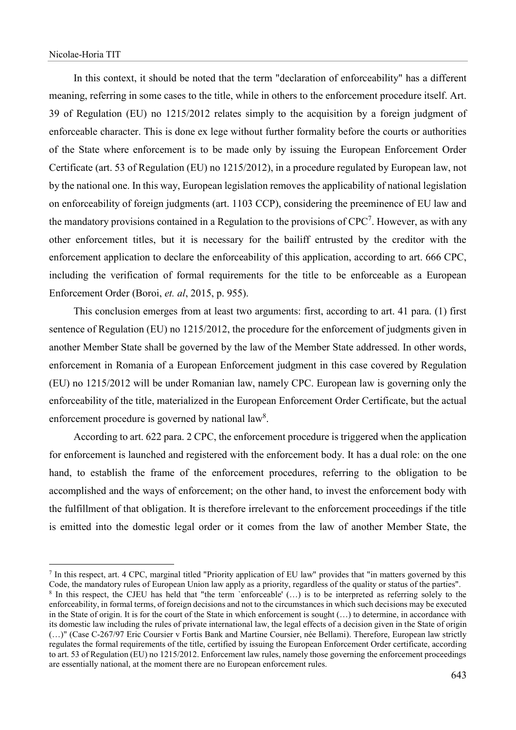1

In this context, it should be noted that the term "declaration of enforceability" has a different meaning, referring in some cases to the title, while in others to the enforcement procedure itself. Art. 39 of Regulation (EU) no 1215/2012 relates simply to the acquisition by a foreign judgment of enforceable character. This is done ex lege without further formality before the courts or authorities of the State where enforcement is to be made only by issuing the European Enforcement Order Certificate (art. 53 of Regulation (EU) no 1215/2012), in a procedure regulated by European law, not by the national one. In this way, European legislation removes the applicability of national legislation on enforceability of foreign judgments (art. 1103 CCP), considering the preeminence of EU law and the mandatory provisions contained in a Regulation to the provisions of  $CPC<sup>7</sup>$ . However, as with any other enforcement titles, but it is necessary for the bailiff entrusted by the creditor with the enforcement application to declare the enforceability of this application, according to art. 666 CPC, including the verification of formal requirements for the title to be enforceable as a European Enforcement Order (Boroi, *et. al*, 2015, p. 955).

This conclusion emerges from at least two arguments: first, according to art. 41 para. (1) first sentence of Regulation (EU) no 1215/2012, the procedure for the enforcement of judgments given in another Member State shall be governed by the law of the Member State addressed. In other words, enforcement in Romania of a European Enforcement judgment in this case covered by Regulation (EU) no 1215/2012 will be under Romanian law, namely CPC. European law is governing only the enforceability of the title, materialized in the European Enforcement Order Certificate, but the actual enforcement procedure is governed by national  $law<sup>8</sup>$ .

According to art. 622 para. 2 CPC, the enforcement procedure is triggered when the application for enforcement is launched and registered with the enforcement body. It has a dual role: on the one hand, to establish the frame of the enforcement procedures, referring to the obligation to be accomplished and the ways of enforcement; on the other hand, to invest the enforcement body with the fulfillment of that obligation. It is therefore irrelevant to the enforcement proceedings if the title is emitted into the domestic legal order or it comes from the law of another Member State, the

<sup>7</sup> In this respect, art. 4 CPC, marginal titled "Priority application of EU law" provides that "in matters governed by this Code, the mandatory rules of European Union law apply as a priority, regardless of the quality or status of the parties".

<sup>&</sup>lt;sup>8</sup> In this respect, the CJEU has held that "the term `enforceable' (...) is to be interpreted as referring solely to the enforceability, in formal terms, of foreign decisions and not to the circumstances in which such decisions may be executed in the State of origin. It is for the court of the State in which enforcement is sought (…) to determine, in accordance with its domestic law including the rules of private international law, the legal effects of a decision given in the State of origin (…)" (Case C-267/97 Eric Coursier v Fortis Bank and Martine Coursier, née Bellami). Therefore, European law strictly regulates the formal requirements of the title, certified by issuing the European Enforcement Order certificate, according to art. 53 of Regulation (EU) no 1215/2012. Enforcement law rules, namely those governing the enforcement proceedings are essentially national, at the moment there are no European enforcement rules.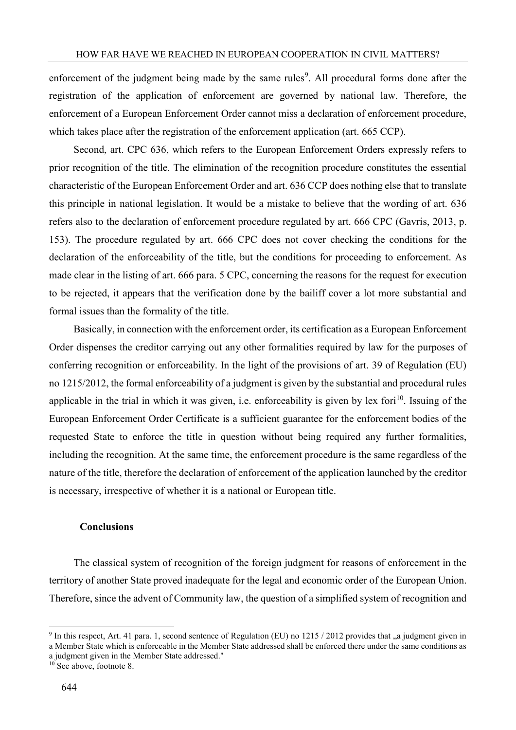enforcement of the judgment being made by the same rules<sup>9</sup>. All procedural forms done after the registration of the application of enforcement are governed by national law. Therefore, the enforcement of a European Enforcement Order cannot miss a declaration of enforcement procedure, which takes place after the registration of the enforcement application (art. 665 CCP).

Second, art. CPC 636, which refers to the European Enforcement Orders expressly refers to prior recognition of the title. The elimination of the recognition procedure constitutes the essential characteristic of the European Enforcement Order and art. 636 CCP does nothing else that to translate this principle in national legislation. It would be a mistake to believe that the wording of art. 636 refers also to the declaration of enforcement procedure regulated by art. 666 CPC (Gavris, 2013, p. 153). The procedure regulated by art. 666 CPC does not cover checking the conditions for the declaration of the enforceability of the title, but the conditions for proceeding to enforcement. As made clear in the listing of art. 666 para. 5 CPC, concerning the reasons for the request for execution to be rejected, it appears that the verification done by the bailiff cover a lot more substantial and formal issues than the formality of the title.

Basically, in connection with the enforcement order, its certification as a European Enforcement Order dispenses the creditor carrying out any other formalities required by law for the purposes of conferring recognition or enforceability. In the light of the provisions of art. 39 of Regulation (EU) no 1215/2012, the formal enforceability of a judgment is given by the substantial and procedural rules applicable in the trial in which it was given, i.e. enforceability is given by lex fori<sup>10</sup>. Issuing of the European Enforcement Order Certificate is a sufficient guarantee for the enforcement bodies of the requested State to enforce the title in question without being required any further formalities, including the recognition. At the same time, the enforcement procedure is the same regardless of the nature of the title, therefore the declaration of enforcement of the application launched by the creditor is necessary, irrespective of whether it is a national or European title.

## **Conclusions**

The classical system of recognition of the foreign judgment for reasons of enforcement in the territory of another State proved inadequate for the legal and economic order of the European Union. Therefore, since the advent of Community law, the question of a simplified system of recognition and

1

<sup>&</sup>lt;sup>9</sup> In this respect, Art. 41 para. 1, second sentence of Regulation (EU) no 1215 / 2012 provides that "a judgment given in a Member State which is enforceable in the Member State addressed shall be enforced there under the same conditions as

a judgment given in the Member State addressed."

<sup>&</sup>lt;sup>10</sup> See above, footnote 8.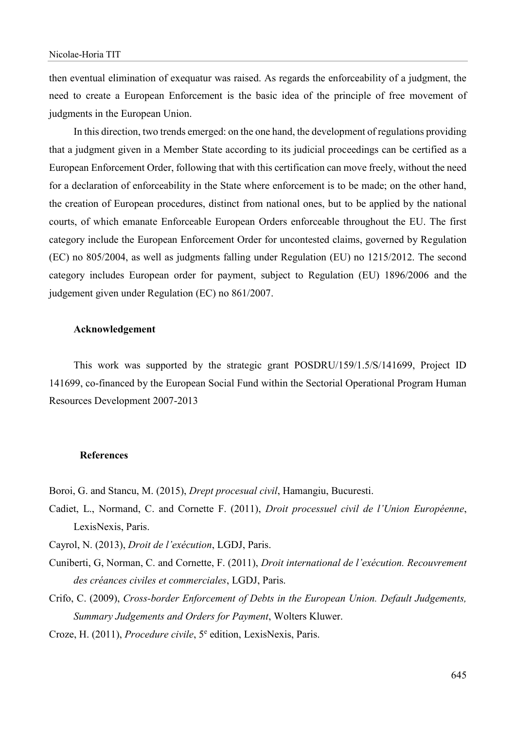then eventual elimination of exequatur was raised. As regards the enforceability of a judgment, the need to create a European Enforcement is the basic idea of the principle of free movement of judgments in the European Union.

In this direction, two trends emerged: on the one hand, the development of regulations providing that a judgment given in a Member State according to its judicial proceedings can be certified as a European Enforcement Order, following that with this certification can move freely, without the need for a declaration of enforceability in the State where enforcement is to be made; on the other hand, the creation of European procedures, distinct from national ones, but to be applied by the national courts, of which emanate Enforceable European Orders enforceable throughout the EU. The first category include the European Enforcement Order for uncontested claims, governed by Regulation (EC) no 805/2004, as well as judgments falling under Regulation (EU) no 1215/2012. The second category includes European order for payment, subject to Regulation (EU) 1896/2006 and the judgement given under Regulation (EC) no 861/2007.

### **Acknowledgement**

This work was supported by the strategic grant POSDRU/159/1.5/S/141699, Project ID 141699, co-financed by the European Social Fund within the Sectorial Operational Program Human Resources Development 2007-2013

#### **References**

Boroi, G. and Stancu, M. (2015), *Drept procesual civil*, Hamangiu, Bucuresti.

- Cadiet, L., Normand, C. and Cornette F. (2011), *Droit processuel civil de l'Union Européenne*, LexisNexis, Paris.
- Cayrol, N. (2013), *Droit de l'exécution*, LGDJ, Paris.
- Cuniberti, G, Norman, C. and Cornette, F. (2011), *Droit international de l'exécution. Recouvrement des créances civiles et commerciales*, LGDJ, Paris.
- Crifo, C. (2009), *Cross-border Enforcement of Debts in the European Union. Default Judgements, Summary Judgements and Orders for Payment*, Wolters Kluwer.

Croze, H. (2011), *Procedure civile*, 5<sup>e</sup> edition, LexisNexis, Paris.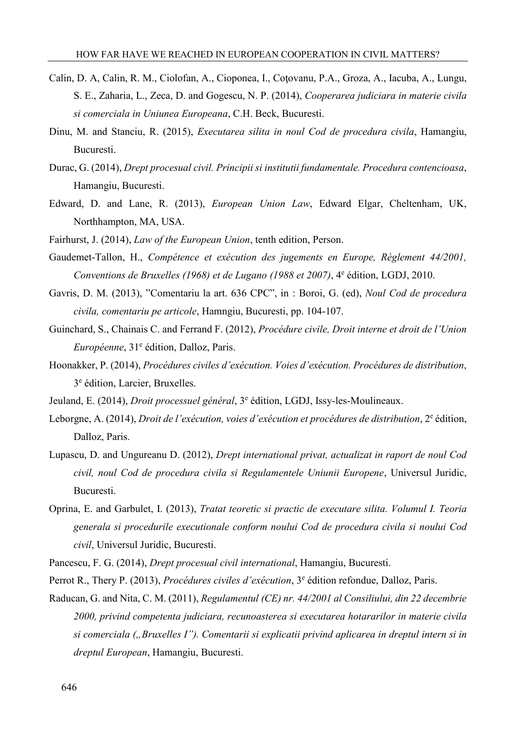- Calin, D. A, Calin, R. M., Ciolofan, A., Cioponea, I., Coţovanu, P.A., Groza, A., Iacuba, A., Lungu, S. E., Zaharia, L., Zeca, D. and Gogescu, N. P. (2014), *Cooperarea judiciara in materie civila si comerciala in Uniunea Europeana*, C.H. Beck, Bucuresti.
- Dinu, M. and Stanciu, R. (2015), *Executarea silita in noul Cod de procedura civila*, Hamangiu, Bucuresti.
- Durac, G. (2014), *Drept procesual civil. Principii si institutii fundamentale. Procedura contencioasa*, Hamangiu, Bucuresti.
- Edward, D. and Lane, R. (2013), *European Union Law*, Edward Elgar, Cheltenham, UK, Northhampton, MA, USA.
- Fairhurst, J. (2014), *Law of the European Union*, tenth edition, Person.
- Gaudemet-Tallon, H., *Compétence et exécution des jugements en Europe, Règlement 44/2001,*  Conventions de Bruxelles (1968) et de Lugano (1988 et 2007), <sup>4e</sup> édition, LGDJ, 2010.
- Gavris, D. M. (2013), "Comentariu la art. 636 CPC", in : Boroi, G. (ed), *Noul Cod de procedura civila, comentariu pe articole*, Hamngiu, Bucuresti, pp. 104-107.
- Guinchard, S., Chainais C. and Ferrand F. (2012), *Procédure civile, Droit interne et droit de l'Union*  Européenne, 31<sup>e</sup> édition, Dalloz, Paris.
- Hoonakker, P. (2014), *Procédures civiles d'exécution. Voies d'exécution. Procédures de distribution*, 3 e édition, Larcier, Bruxelles.
- Jeuland, E. (2014), *Droit processuel général*, <sup>3e</sup> édition, LGDJ, Issy-les-Moulineaux.
- Leborgne, A. (2014), *Droit de l'exécution, voies d'exécution et procédures de distribution*, 2<sup>e</sup> édition, Dalloz, Paris.
- Lupascu, D. and Ungureanu D. (2012), *Drept international privat, actualizat in raport de noul Cod civil, noul Cod de procedura civila si Regulamentele Uniunii Europene*, Universul Juridic, Bucuresti.
- Oprina, E. and Garbulet, I. (2013), *Tratat teoretic si practic de executare silita. Volumul I. Teoria generala si procedurile executionale conform noului Cod de procedura civila si noului Cod civil*, Universul Juridic, Bucuresti.
- Pancescu, F. G. (2014), *Drept procesual civil international*, Hamangiu, Bucuresti.
- Perrot R., Thery P. (2013), *Procédures civiles d'exécution*, 3<sup>e</sup> édition refondue, Dalloz, Paris.
- Raducan, G. and Nita, C. M. (2011), *Regulamentul (CE) nr. 44/2001 al Consiliului, din 22 decembrie 2000, privind competenta judiciara, recunoasterea si executarea hotararilor in materie civila si comerciala ("Bruxelles I"). Comentarii si explicatii privind aplicarea in dreptul intern si in dreptul European*, Hamangiu, Bucuresti.